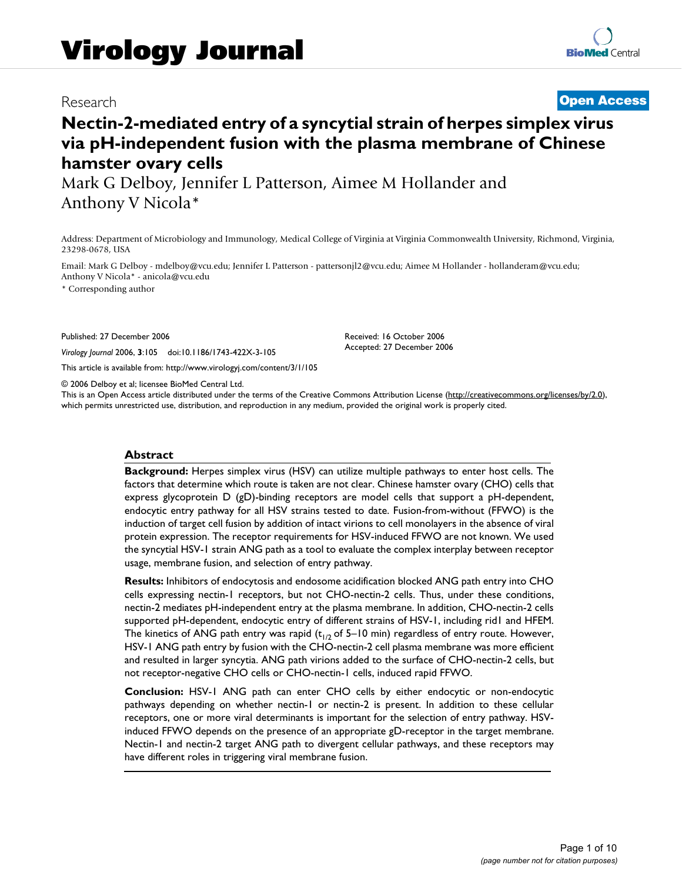# Research **[Open Access](http://www.biomedcentral.com/info/about/charter/)**

# **Nectin-2-mediated entry of a syncytial strain of herpes simplex virus via pH-independent fusion with the plasma membrane of Chinese hamster ovary cells**

Mark G Delboy, Jennifer L Patterson, Aimee M Hollander and Anthony V Nicola\*

Address: Department of Microbiology and Immunology, Medical College of Virginia at Virginia Commonwealth University, Richmond, Virginia, 23298-0678, USA

Email: Mark G Delboy - mdelboy@vcu.edu; Jennifer L Patterson - pattersonjl2@vcu.edu; Aimee M Hollander - hollanderam@vcu.edu; Anthony V Nicola\* - anicola@vcu.edu

\* Corresponding author

Published: 27 December 2006

*Virology Journal* 2006, **3**:105 doi:10.1186/1743-422X-3-105

[This article is available from: http://www.virologyj.com/content/3/1/105](http://www.virologyj.com/content/3/1/105)

© 2006 Delboy et al; licensee BioMed Central Ltd.

This is an Open Access article distributed under the terms of the Creative Commons Attribution License [\(http://creativecommons.org/licenses/by/2.0\)](http://creativecommons.org/licenses/by/2.0), which permits unrestricted use, distribution, and reproduction in any medium, provided the original work is properly cited.

Received: 16 October 2006 Accepted: 27 December 2006

#### **Abstract**

**Background:** Herpes simplex virus (HSV) can utilize multiple pathways to enter host cells. The factors that determine which route is taken are not clear. Chinese hamster ovary (CHO) cells that express glycoprotein D (gD)-binding receptors are model cells that support a pH-dependent, endocytic entry pathway for all HSV strains tested to date. Fusion-from-without (FFWO) is the induction of target cell fusion by addition of intact virions to cell monolayers in the absence of viral protein expression. The receptor requirements for HSV-induced FFWO are not known. We used the syncytial HSV-1 strain ANG path as a tool to evaluate the complex interplay between receptor usage, membrane fusion, and selection of entry pathway.

**Results:** Inhibitors of endocytosis and endosome acidification blocked ANG path entry into CHO cells expressing nectin-1 receptors, but not CHO-nectin-2 cells. Thus, under these conditions, nectin-2 mediates pH-independent entry at the plasma membrane. In addition, CHO-nectin-2 cells supported pH-dependent, endocytic entry of different strains of HSV-1, including rid1 and HFEM. The kinetics of ANG path entry was rapid  $(t_{1/2}$  of 5–10 min) regardless of entry route. However, HSV-1 ANG path entry by fusion with the CHO-nectin-2 cell plasma membrane was more efficient and resulted in larger syncytia. ANG path virions added to the surface of CHO-nectin-2 cells, but not receptor-negative CHO cells or CHO-nectin-1 cells, induced rapid FFWO.

**Conclusion:** HSV-1 ANG path can enter CHO cells by either endocytic or non-endocytic pathways depending on whether nectin-1 or nectin-2 is present. In addition to these cellular receptors, one or more viral determinants is important for the selection of entry pathway. HSVinduced FFWO depends on the presence of an appropriate gD-receptor in the target membrane. Nectin-1 and nectin-2 target ANG path to divergent cellular pathways, and these receptors may have different roles in triggering viral membrane fusion.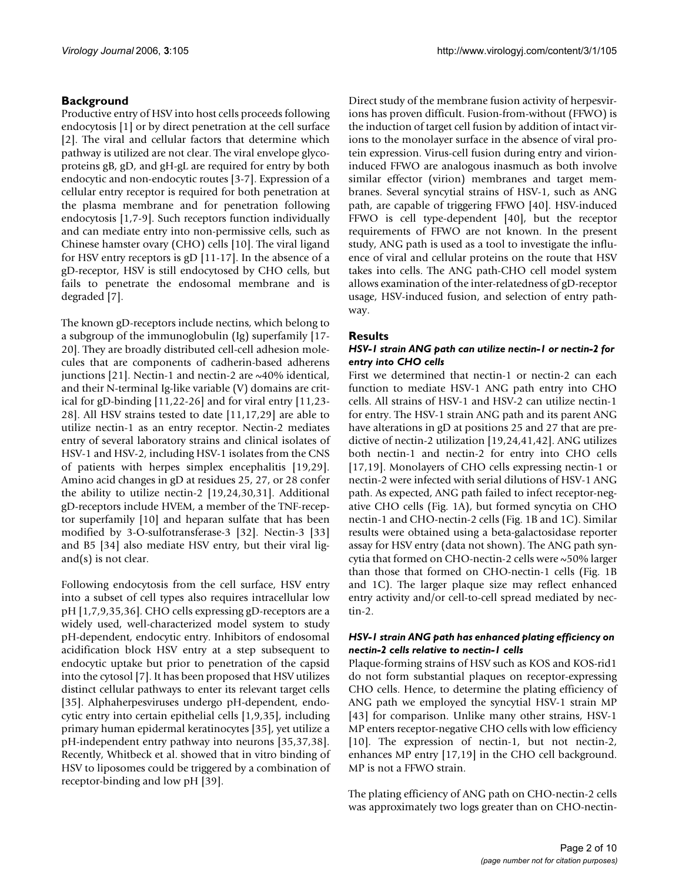# **Background**

Productive entry of HSV into host cells proceeds following endocytosis [1] or by direct penetration at the cell surface [2]. The viral and cellular factors that determine which pathway is utilized are not clear. The viral envelope glycoproteins gB, gD, and gH-gL are required for entry by both endocytic and non-endocytic routes [3-7]. Expression of a cellular entry receptor is required for both penetration at the plasma membrane and for penetration following endocytosis [1,7-9]. Such receptors function individually and can mediate entry into non-permissive cells, such as Chinese hamster ovary (CHO) cells [10]. The viral ligand for HSV entry receptors is gD [11-17]. In the absence of a gD-receptor, HSV is still endocytosed by CHO cells, but fails to penetrate the endosomal membrane and is degraded [7].

The known gD-receptors include nectins, which belong to a subgroup of the immunoglobulin (Ig) superfamily [17- 20]. They are broadly distributed cell-cell adhesion molecules that are components of cadherin-based adherens junctions [21]. Nectin-1 and nectin-2 are ~40% identical, and their N-terminal Ig-like variable (V) domains are critical for gD-binding [11,22-26] and for viral entry [11,23- 28]. All HSV strains tested to date [11,17,29] are able to utilize nectin-1 as an entry receptor. Nectin-2 mediates entry of several laboratory strains and clinical isolates of HSV-1 and HSV-2, including HSV-1 isolates from the CNS of patients with herpes simplex encephalitis [19,29]. Amino acid changes in gD at residues 25, 27, or 28 confer the ability to utilize nectin-2 [19,24,30,31]. Additional gD-receptors include HVEM, a member of the TNF-receptor superfamily [10] and heparan sulfate that has been modified by 3-O-sulfotransferase-3 [32]. Nectin-3 [33] and B5 [34] also mediate HSV entry, but their viral ligand(s) is not clear.

Following endocytosis from the cell surface, HSV entry into a subset of cell types also requires intracellular low pH [1,7,9,35,36]. CHO cells expressing gD-receptors are a widely used, well-characterized model system to study pH-dependent, endocytic entry. Inhibitors of endosomal acidification block HSV entry at a step subsequent to endocytic uptake but prior to penetration of the capsid into the cytosol [7]. It has been proposed that HSV utilizes distinct cellular pathways to enter its relevant target cells [35]. Alphaherpesviruses undergo pH-dependent, endocytic entry into certain epithelial cells [1,9,35], including primary human epidermal keratinocytes [35], yet utilize a pH-independent entry pathway into neurons [35,37,38]. Recently, Whitbeck et al. showed that in vitro binding of HSV to liposomes could be triggered by a combination of receptor-binding and low pH [39].

Direct study of the membrane fusion activity of herpesvirions has proven difficult. Fusion-from-without (FFWO) is the induction of target cell fusion by addition of intact virions to the monolayer surface in the absence of viral protein expression. Virus-cell fusion during entry and virioninduced FFWO are analogous inasmuch as both involve similar effector (virion) membranes and target membranes. Several syncytial strains of HSV-1, such as ANG path, are capable of triggering FFWO [40]. HSV-induced FFWO is cell type-dependent [40], but the receptor requirements of FFWO are not known. In the present study, ANG path is used as a tool to investigate the influence of viral and cellular proteins on the route that HSV takes into cells. The ANG path-CHO cell model system allows examination of the inter-relatedness of gD-receptor usage, HSV-induced fusion, and selection of entry pathway.

# **Results**

#### *HSV-1 strain ANG path can utilize nectin-1 or nectin-2 for entry into CHO cells*

First we determined that nectin-1 or nectin-2 can each function to mediate HSV-1 ANG path entry into CHO cells. All strains of HSV-1 and HSV-2 can utilize nectin-1 for entry. The HSV-1 strain ANG path and its parent ANG have alterations in gD at positions 25 and 27 that are predictive of nectin-2 utilization [19,24,41,42]. ANG utilizes both nectin-1 and nectin-2 for entry into CHO cells [17,19]. Monolayers of CHO cells expressing nectin-1 or nectin-2 were infected with serial dilutions of HSV-1 ANG path. As expected, ANG path failed to infect receptor-negative CHO cells (Fig. 1A), but formed syncytia on CHO nectin-1 and CHO-nectin-2 cells (Fig. 1B and 1C). Similar results were obtained using a beta-galactosidase reporter assay for HSV entry (data not shown). The ANG path syncytia that formed on CHO-nectin-2 cells were ~50% larger than those that formed on CHO-nectin-1 cells (Fig. 1B and 1C). The larger plaque size may reflect enhanced entry activity and/or cell-to-cell spread mediated by nectin-2.

#### *HSV-1 strain ANG path has enhanced plating efficiency on nectin-2 cells relative to nectin-1 cells*

Plaque-forming strains of HSV such as KOS and KOS-rid1 do not form substantial plaques on receptor-expressing CHO cells. Hence, to determine the plating efficiency of ANG path we employed the syncytial HSV-1 strain MP [43] for comparison. Unlike many other strains, HSV-1 MP enters receptor-negative CHO cells with low efficiency [10]. The expression of nectin-1, but not nectin-2, enhances MP entry [17,19] in the CHO cell background. MP is not a FFWO strain.

The plating efficiency of ANG path on CHO-nectin-2 cells was approximately two logs greater than on CHO-nectin-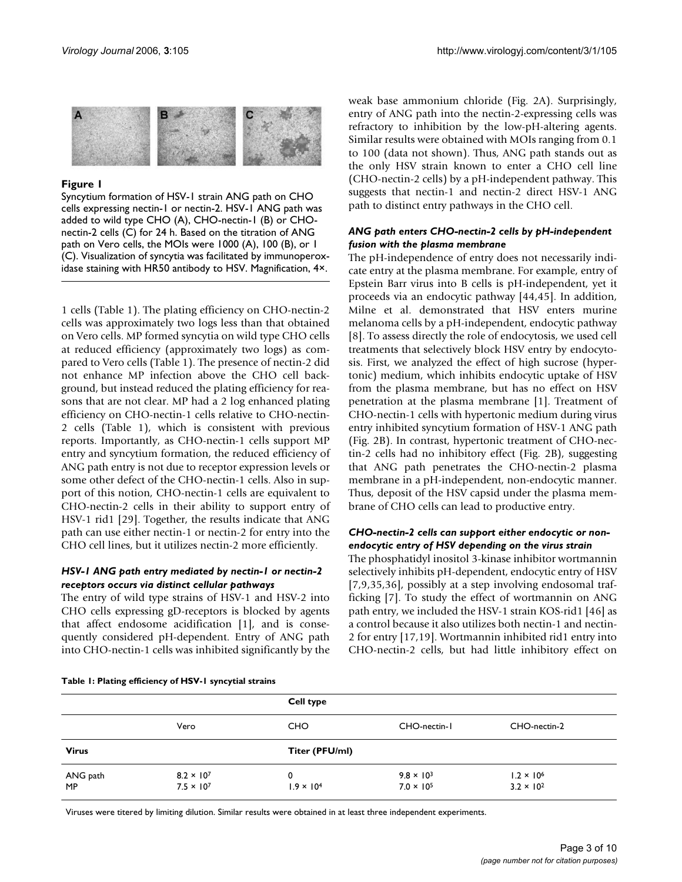

#### **Figure 1**

Syncytium formation of HSV-1 strain ANG path on CHO cells expressing nectin-1 or nectin-2. HSV-1 ANG path was added to wild type CHO (A), CHO-nectin-1 (B) or CHOnectin-2 cells (C) for 24 h. Based on the titration of ANG path on Vero cells, the MOIs were 1000 (A), 100 (B), or 1 (C). Visualization of syncytia was facilitated by immunoperoxidase staining with HR50 antibody to HSV. Magnification, 4×.

1 cells (Table 1). The plating efficiency on CHO-nectin-2 cells was approximately two logs less than that obtained on Vero cells. MP formed syncytia on wild type CHO cells at reduced efficiency (approximately two logs) as compared to Vero cells (Table 1). The presence of nectin-2 did not enhance MP infection above the CHO cell background, but instead reduced the plating efficiency for reasons that are not clear. MP had a 2 log enhanced plating efficiency on CHO-nectin-1 cells relative to CHO-nectin-2 cells (Table 1), which is consistent with previous reports. Importantly, as CHO-nectin-1 cells support MP entry and syncytium formation, the reduced efficiency of ANG path entry is not due to receptor expression levels or some other defect of the CHO-nectin-1 cells. Also in support of this notion, CHO-nectin-1 cells are equivalent to CHO-nectin-2 cells in their ability to support entry of HSV-1 rid1 [29]. Together, the results indicate that ANG path can use either nectin-1 or nectin-2 for entry into the CHO cell lines, but it utilizes nectin-2 more efficiently.

#### *HSV-1 ANG path entry mediated by nectin-1 or nectin-2 receptors occurs via distinct cellular pathways*

The entry of wild type strains of HSV-1 and HSV-2 into CHO cells expressing gD-receptors is blocked by agents that affect endosome acidification [1], and is consequently considered pH-dependent. Entry of ANG path into CHO-nectin-1 cells was inhibited significantly by the

**Table 1: Plating efficiency of HSV-1 syncytial strains**

weak base ammonium chloride (Fig. 2A). Surprisingly, entry of ANG path into the nectin-2-expressing cells was refractory to inhibition by the low-pH-altering agents. Similar results were obtained with MOIs ranging from 0.1 to 100 (data not shown). Thus, ANG path stands out as the only HSV strain known to enter a CHO cell line (CHO-nectin-2 cells) by a pH-independent pathway. This suggests that nectin-1 and nectin-2 direct HSV-1 ANG path to distinct entry pathways in the CHO cell.

### *ANG path enters CHO-nectin-2 cells by pH-independent fusion with the plasma membrane*

The pH-independence of entry does not necessarily indicate entry at the plasma membrane. For example, entry of Epstein Barr virus into B cells is pH-independent, yet it proceeds via an endocytic pathway [44,45]. In addition, Milne et al. demonstrated that HSV enters murine melanoma cells by a pH-independent, endocytic pathway [8]. To assess directly the role of endocytosis, we used cell treatments that selectively block HSV entry by endocytosis. First, we analyzed the effect of high sucrose (hypertonic) medium, which inhibits endocytic uptake of HSV from the plasma membrane, but has no effect on HSV penetration at the plasma membrane [1]. Treatment of CHO-nectin-1 cells with hypertonic medium during virus entry inhibited syncytium formation of HSV-1 ANG path (Fig. 2B). In contrast, hypertonic treatment of CHO-nectin-2 cells had no inhibitory effect (Fig. 2B), suggesting that ANG path penetrates the CHO-nectin-2 plasma membrane in a pH-independent, non-endocytic manner. Thus, deposit of the HSV capsid under the plasma membrane of CHO cells can lead to productive entry.

#### *CHO-nectin-2 cells can support either endocytic or nonendocytic entry of HSV depending on the virus strain*

The phosphatidyl inositol 3-kinase inhibitor wortmannin selectively inhibits pH-dependent, endocytic entry of HSV [7,9,35,36], possibly at a step involving endosomal trafficking [7]. To study the effect of wortmannin on ANG path entry, we included the HSV-1 strain KOS-rid1 [46] as a control because it also utilizes both nectin-1 and nectin-2 for entry [17,19]. Wortmannin inhibited rid1 entry into CHO-nectin-2 cells, but had little inhibitory effect on

|                       |                                            | <b>Cell type</b>         |                                            |                                            |
|-----------------------|--------------------------------------------|--------------------------|--------------------------------------------|--------------------------------------------|
|                       | Vero                                       | <b>CHO</b>               | CHO-nectin-1                               | CHO-nectin-2                               |
| <b>Virus</b>          |                                            | Titer (PFU/ml)           |                                            |                                            |
| ANG path<br><b>MP</b> | $8.2 \times 10^{7}$<br>$7.5 \times 10^{7}$ | 0<br>$1.9 \times 10^{4}$ | $9.8 \times 10^{3}$<br>$7.0 \times 10^{5}$ | $1.2 \times 10^{6}$<br>$3.2 \times 10^{2}$ |

Viruses were titered by limiting dilution. Similar results were obtained in at least three independent experiments.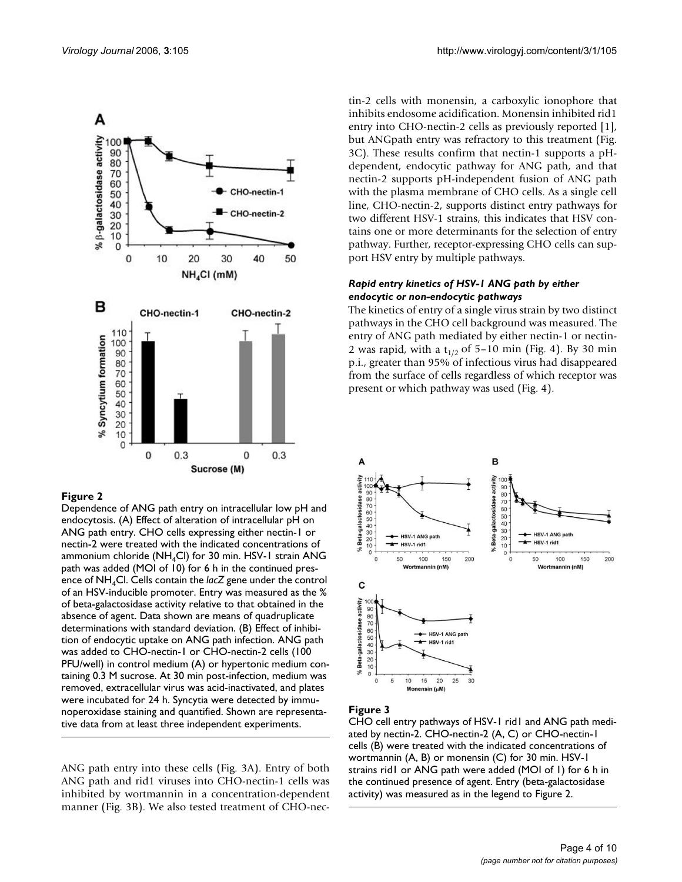

# **Figure 2**

Dependence of ANG path entry on intracellular low pH and endocytosis. (A) Effect of alteration of intracellular pH on ANG path entry. CHO cells expressing either nectin-1 or nectin-2 were treated with the indicated concentrations of ammonium chloride ( $NH<sub>4</sub>Cl$ ) for 30 min. HSV-1 strain ANG path was added (MOI of 10) for 6 h in the continued presence of NH4Cl. Cells contain the *lacZ* gene under the control of an HSV-inducible promoter. Entry was measured as the % of beta-galactosidase activity relative to that obtained in the absence of agent. Data shown are means of quadruplicate determinations with standard deviation. (B) Effect of inhibition of endocytic uptake on ANG path infection. ANG path was added to CHO-nectin-1 or CHO-nectin-2 cells (100 PFU/well) in control medium (A) or hypertonic medium containing 0.3 M sucrose. At 30 min post-infection, medium was removed, extracellular virus was acid-inactivated, and plates were incubated for 24 h. Syncytia were detected by immunoperoxidase staining and quantified. Shown are representative data from at least three independent experiments.

ANG path entry into these cells (Fig. 3A). Entry of both ANG path and rid1 viruses into CHO-nectin-1 cells was inhibited by wortmannin in a concentration-dependent manner (Fig. 3B). We also tested treatment of CHO-nectin-2 cells with monensin, a carboxylic ionophore that inhibits endosome acidification. Monensin inhibited rid1 entry into CHO-nectin-2 cells as previously reported [1], but ANGpath entry was refractory to this treatment (Fig. 3C). These results confirm that nectin-1 supports a pHdependent, endocytic pathway for ANG path, and that nectin-2 supports pH-independent fusion of ANG path with the plasma membrane of CHO cells. As a single cell line, CHO-nectin-2, supports distinct entry pathways for two different HSV-1 strains, this indicates that HSV contains one or more determinants for the selection of entry pathway. Further, receptor-expressing CHO cells can support HSV entry by multiple pathways.

# *Rapid entry kinetics of HSV-1 ANG path by either endocytic or non-endocytic pathways*

The kinetics of entry of a single virus strain by two distinct pathways in the CHO cell background was measured. The entry of ANG path mediated by either nectin-1 or nectin-2 was rapid, with a  $t_{1/2}$  of 5–10 min (Fig. 4). By 30 min p.i., greater than 95% of infectious virus had disappeared from the surface of cells regardless of which receptor was present or which pathway was used (Fig. 4).



#### Figure 3

CHO cell entry pathways of HSV-1 rid1 and ANG path mediated by nectin-2. CHO-nectin-2 (A, C) or CHO-nectin-1 cells (B) were treated with the indicated concentrations of wortmannin (A, B) or monensin (C) for 30 min. HSV-1 strains rid1 or ANG path were added (MOI of 1) for 6 h in the continued presence of agent. Entry (beta-galactosidase activity) was measured as in the legend to Figure 2.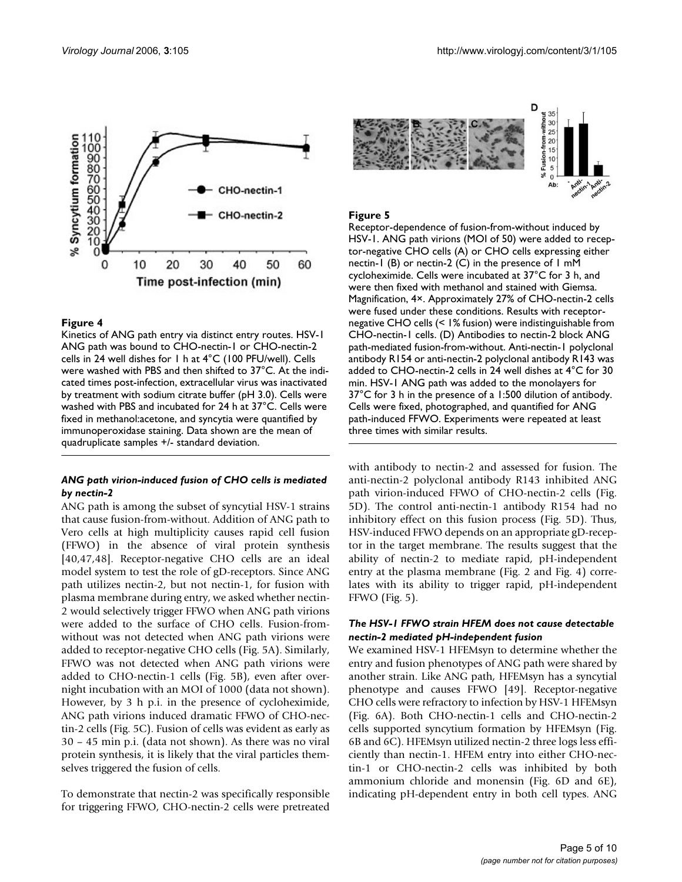

# **Figure 4**

Kinetics of ANG path entry via distinct entry routes. HSV-1 ANG path was bound to CHO-nectin-1 or CHO-nectin-2 cells in 24 well dishes for 1 h at 4°C (100 PFU/well). Cells were washed with PBS and then shifted to 37°C. At the indicated times post-infection, extracellular virus was inactivated by treatment with sodium citrate buffer (pH 3.0). Cells were washed with PBS and incubated for 24 h at 37°C. Cells were fixed in methanol:acetone, and syncytia were quantified by immunoperoxidase staining. Data shown are the mean of quadruplicate samples +/- standard deviation.

# *ANG path virion-induced fusion of CHO cells is mediated by nectin-2*

ANG path is among the subset of syncytial HSV-1 strains that cause fusion-from-without. Addition of ANG path to Vero cells at high multiplicity causes rapid cell fusion (FFWO) in the absence of viral protein synthesis [40,47,48]. Receptor-negative CHO cells are an ideal model system to test the role of gD-receptors. Since ANG path utilizes nectin-2, but not nectin-1, for fusion with plasma membrane during entry, we asked whether nectin-2 would selectively trigger FFWO when ANG path virions were added to the surface of CHO cells. Fusion-fromwithout was not detected when ANG path virions were added to receptor-negative CHO cells (Fig. 5A). Similarly, FFWO was not detected when ANG path virions were added to CHO-nectin-1 cells (Fig. 5B), even after overnight incubation with an MOI of 1000 (data not shown). However, by 3 h p.i. in the presence of cycloheximide, ANG path virions induced dramatic FFWO of CHO-nectin-2 cells (Fig. 5C). Fusion of cells was evident as early as 30 – 45 min p.i. (data not shown). As there was no viral protein synthesis, it is likely that the viral particles themselves triggered the fusion of cells.

To demonstrate that nectin-2 was specifically responsible for triggering FFWO, CHO-nectin-2 cells were pretreated



#### **Figure 5**

Receptor-dependence of fusion-from-without induced by HSV-1. ANG path virions (MOI of 50) were added to receptor-negative CHO cells (A) or CHO cells expressing either nectin-1 (B) or nectin-2 (C) in the presence of 1 mM cycloheximide. Cells were incubated at 37°C for 3 h, and were then fixed with methanol and stained with Giemsa. Magnification, 4×. Approximately 27% of CHO-nectin-2 cells were fused under these conditions. Results with receptornegative CHO cells (< 1% fusion) were indistinguishable from CHO-nectin-1 cells. (D) Antibodies to nectin-2 block ANG path-mediated fusion-from-without. Anti-nectin-1 polyclonal antibody R154 or anti-nectin-2 polyclonal antibody R143 was added to CHO-nectin-2 cells in 24 well dishes at 4°C for 30 min. HSV-1 ANG path was added to the monolayers for 37°C for 3 h in the presence of a 1:500 dilution of antibody. Cells were fixed, photographed, and quantified for ANG path-induced FFWO. Experiments were repeated at least three times with similar results.

with antibody to nectin-2 and assessed for fusion. The anti-nectin-2 polyclonal antibody R143 inhibited ANG path virion-induced FFWO of CHO-nectin-2 cells (Fig. 5D). The control anti-nectin-1 antibody R154 had no inhibitory effect on this fusion process (Fig. 5D). Thus, HSV-induced FFWO depends on an appropriate gD-receptor in the target membrane. The results suggest that the ability of nectin-2 to mediate rapid, pH-independent entry at the plasma membrane (Fig. 2 and Fig. 4) correlates with its ability to trigger rapid, pH-independent FFWO (Fig. 5).

# *The HSV-1 FFWO strain HFEM does not cause detectable nectin-2 mediated pH-independent fusion*

We examined HSV-1 HFEMsyn to determine whether the entry and fusion phenotypes of ANG path were shared by another strain. Like ANG path, HFEMsyn has a syncytial phenotype and causes FFWO [49]. Receptor-negative CHO cells were refractory to infection by HSV-1 HFEMsyn (Fig. 6A). Both CHO-nectin-1 cells and CHO-nectin-2 cells supported syncytium formation by HFEMsyn (Fig. 6B and 6C). HFEMsyn utilized nectin-2 three logs less efficiently than nectin-1. HFEM entry into either CHO-nectin-1 or CHO-nectin-2 cells was inhibited by both ammonium chloride and monensin (Fig. 6D and 6E), indicating pH-dependent entry in both cell types. ANG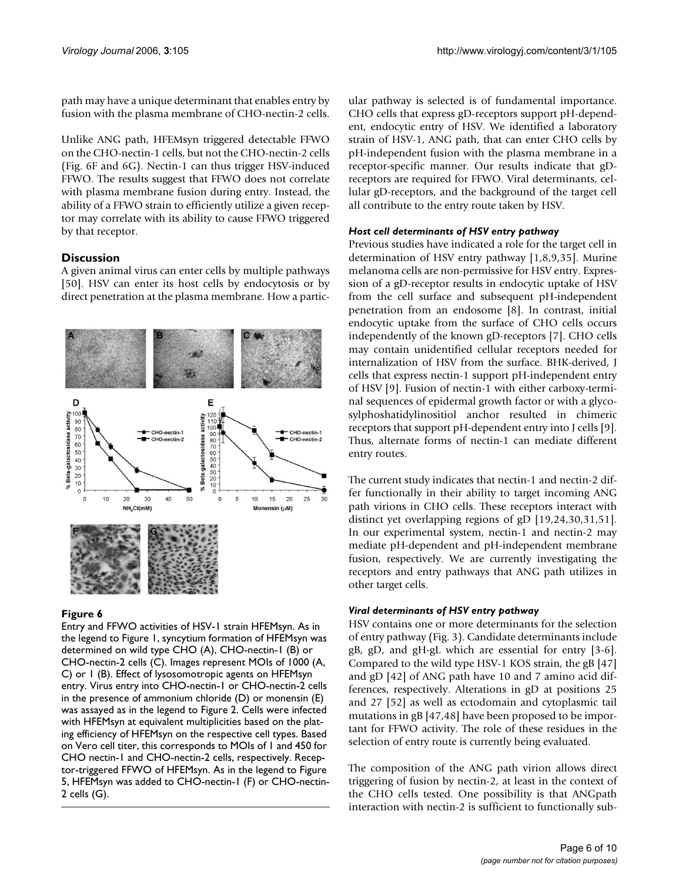path may have a unique determinant that enables entry by fusion with the plasma membrane of CHO-nectin-2 cells.

Unlike ANG path, HFEMsyn triggered detectable FFWO on the CHO-nectin-1 cells, but not the CHO-nectin-2 cells (Fig. 6F and 6G). Nectin-1 can thus trigger HSV-induced FFWO. The results suggest that FFWO does not correlate with plasma membrane fusion during entry. Instead, the ability of a FFWO strain to efficiently utilize a given receptor may correlate with its ability to cause FFWO triggered by that receptor.

# **Discussion**

A given animal virus can enter cells by multiple pathways [50]. HSV can enter its host cells by endocytosis or by direct penetration at the plasma membrane. How a partic-



# **Figure 6**

Entry and FFWO activities of HSV-1 strain HFEMsyn. As in the legend to Figure 1, syncytium formation of HFEMsyn was determined on wild type CHO (A), CHO-nectin-1 (B) or CHO-nectin-2 cells (C). Images represent MOIs of 1000 (A, C) or 1 (B). Effect of lysosomotropic agents on HFEMsyn entry. Virus entry into CHO-nectin-1 or CHO-nectin-2 cells in the presence of ammonium chloride (D) or monensin (E) was assayed as in the legend to Figure 2. Cells were infected with HFEMsyn at equivalent multiplicities based on the plating efficiency of HFEMsyn on the respective cell types. Based on Vero cell titer, this corresponds to MOIs of 1 and 450 for CHO nectin-1 and CHO-nectin-2 cells, respectively. Receptor-triggered FFWO of HFEMsyn. As in the legend to Figure 5, HFEMsyn was added to CHO-nectin-1 (F) or CHO-nectin-2 cells (G).

ular pathway is selected is of fundamental importance. CHO cells that express gD-receptors support pH-dependent, endocytic entry of HSV. We identified a laboratory strain of HSV-1, ANG path, that can enter CHO cells by pH-independent fusion with the plasma membrane in a receptor-specific manner. Our results indicate that gDreceptors are required for FFWO. Viral determinants, cellular gD-receptors, and the background of the target cell all contribute to the entry route taken by HSV.

# *Host cell determinants of HSV entry pathway*

Previous studies have indicated a role for the target cell in determination of HSV entry pathway [1,8,9,35]. Murine melanoma cells are non-permissive for HSV entry. Expression of a gD-receptor results in endocytic uptake of HSV from the cell surface and subsequent pH-independent penetration from an endosome [8]. In contrast, initial endocytic uptake from the surface of CHO cells occurs independently of the known gD-receptors [7]. CHO cells may contain unidentified cellular receptors needed for internalization of HSV from the surface. BHK-derived, J cells that express nectin-1 support pH-independent entry of HSV [9]. Fusion of nectin-1 with either carboxy-terminal sequences of epidermal growth factor or with a glycosylphoshatidylinositiol anchor resulted in chimeric receptors that support pH-dependent entry into J cells [9]. Thus, alternate forms of nectin-1 can mediate different entry routes.

The current study indicates that nectin-1 and nectin-2 differ functionally in their ability to target incoming ANG path virions in CHO cells. These receptors interact with distinct yet overlapping regions of gD [19,24,30,31,51]. In our experimental system, nectin-1 and nectin-2 may mediate pH-dependent and pH-independent membrane fusion, respectively. We are currently investigating the receptors and entry pathways that ANG path utilizes in other target cells.

# *Viral determinants of HSV entry pathway*

HSV contains one or more determinants for the selection of entry pathway (Fig. 3). Candidate determinants include gB, gD, and gH-gL which are essential for entry [3-6]. Compared to the wild type HSV-1 KOS strain, the gB [47] and gD [42] of ANG path have 10 and 7 amino acid differences, respectively. Alterations in gD at positions 25 and 27 [52] as well as ectodomain and cytoplasmic tail mutations in gB [47,48] have been proposed to be important for FFWO activity. The role of these residues in the selection of entry route is currently being evaluated.

The composition of the ANG path virion allows direct triggering of fusion by nectin-2, at least in the context of the CHO cells tested. One possibility is that ANGpath interaction with nectin-2 is sufficient to functionally sub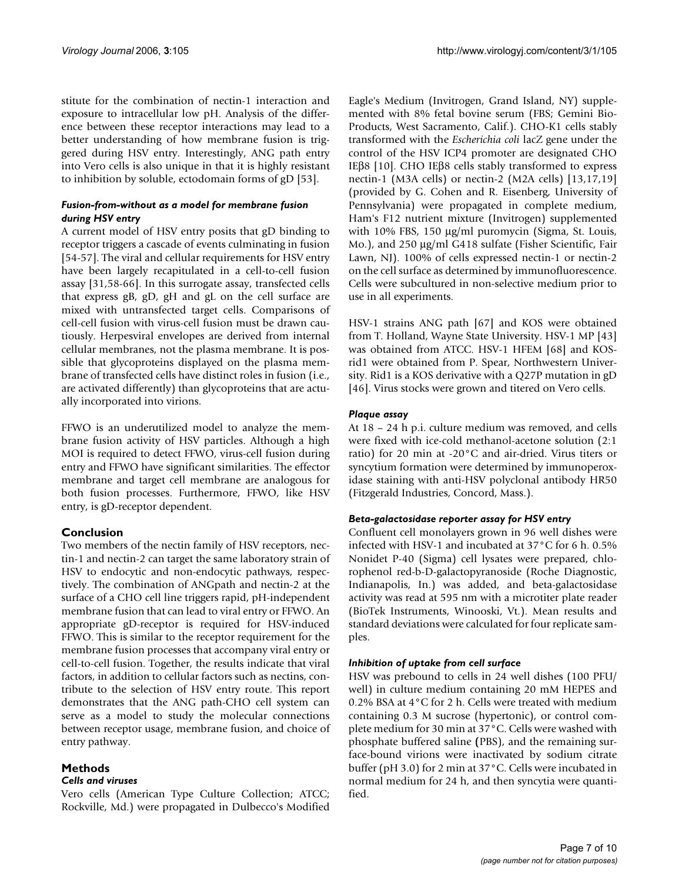stitute for the combination of nectin-1 interaction and exposure to intracellular low pH. Analysis of the difference between these receptor interactions may lead to a better understanding of how membrane fusion is triggered during HSV entry. Interestingly, ANG path entry into Vero cells is also unique in that it is highly resistant to inhibition by soluble, ectodomain forms of gD [53].

### *Fusion-from-without as a model for membrane fusion during HSV entry*

A current model of HSV entry posits that gD binding to receptor triggers a cascade of events culminating in fusion [54-57]. The viral and cellular requirements for HSV entry have been largely recapitulated in a cell-to-cell fusion assay [31,58-66]. In this surrogate assay, transfected cells that express gB, gD, gH and gL on the cell surface are mixed with untransfected target cells. Comparisons of cell-cell fusion with virus-cell fusion must be drawn cautiously. Herpesviral envelopes are derived from internal cellular membranes, not the plasma membrane. It is possible that glycoproteins displayed on the plasma membrane of transfected cells have distinct roles in fusion (i.e., are activated differently) than glycoproteins that are actually incorporated into virions.

FFWO is an underutilized model to analyze the membrane fusion activity of HSV particles. Although a high MOI is required to detect FFWO, virus-cell fusion during entry and FFWO have significant similarities. The effector membrane and target cell membrane are analogous for both fusion processes. Furthermore, FFWO, like HSV entry, is gD-receptor dependent.

# **Conclusion**

Two members of the nectin family of HSV receptors, nectin-1 and nectin-2 can target the same laboratory strain of HSV to endocytic and non-endocytic pathways, respectively. The combination of ANGpath and nectin-2 at the surface of a CHO cell line triggers rapid, pH-independent membrane fusion that can lead to viral entry or FFWO. An appropriate gD-receptor is required for HSV-induced FFWO. This is similar to the receptor requirement for the membrane fusion processes that accompany viral entry or cell-to-cell fusion. Together, the results indicate that viral factors, in addition to cellular factors such as nectins, contribute to the selection of HSV entry route. This report demonstrates that the ANG path-CHO cell system can serve as a model to study the molecular connections between receptor usage, membrane fusion, and choice of entry pathway.

# **Methods**

# *Cells and viruses*

Vero cells (American Type Culture Collection; ATCC; Rockville, Md.) were propagated in Dulbecco's Modified Eagle's Medium (Invitrogen, Grand Island, NY) supplemented with 8% fetal bovine serum (FBS; Gemini Bio-Products, West Sacramento, Calif.). CHO-K1 cells stably transformed with the *Escherichia coli* lacZ gene under the control of the HSV ICP4 promoter are designated CHO IEβ8 [10]. CHO IEβ8 cells stably transformed to express nectin-1 (M3A cells) or nectin-2 (M2A cells) [13,17,19] (provided by G. Cohen and R. Eisenberg, University of Pennsylvania) were propagated in complete medium, Ham's F12 nutrient mixture (Invitrogen) supplemented with 10% FBS, 150 μg/ml puromycin (Sigma, St. Louis, Mo.), and 250 μg/ml G418 sulfate (Fisher Scientific, Fair Lawn, NJ). 100% of cells expressed nectin-1 or nectin-2 on the cell surface as determined by immunofluorescence. Cells were subcultured in non-selective medium prior to use in all experiments.

HSV-1 strains ANG path [67] and KOS were obtained from T. Holland, Wayne State University. HSV-1 MP [43] was obtained from ATCC. HSV-1 HFEM [68] and KOSrid1 were obtained from P. Spear, Northwestern University. Rid1 is a KOS derivative with a Q27P mutation in gD [46]. Virus stocks were grown and titered on Vero cells.

# *Plaque assay*

At 18 – 24 h p.i. culture medium was removed, and cells were fixed with ice-cold methanol-acetone solution (2:1 ratio) for 20 min at -20°C and air-dried. Virus titers or syncytium formation were determined by immunoperoxidase staining with anti-HSV polyclonal antibody HR50 (Fitzgerald Industries, Concord, Mass.).

# *Beta-galactosidase reporter assay for HSV entry*

Confluent cell monolayers grown in 96 well dishes were infected with HSV-1 and incubated at 37°C for 6 h. 0.5% Nonidet P-40 (Sigma) cell lysates were prepared, chlorophenol red-b-D-galactopyranoside (Roche Diagnostic, Indianapolis, In.) was added, and beta-galactosidase activity was read at 595 nm with a microtiter plate reader (BioTek Instruments, Winooski, Vt.). Mean results and standard deviations were calculated for four replicate samples.

# *Inhibition of uptake from cell surface*

HSV was prebound to cells in 24 well dishes (100 PFU/ well) in culture medium containing 20 mM HEPES and 0.2% BSA at 4°C for 2 h. Cells were treated with medium containing 0.3 M sucrose (hypertonic), or control complete medium for 30 min at 37°C. Cells were washed with phosphate buffered saline **(**PBS), and the remaining surface-bound virions were inactivated by sodium citrate buffer (pH 3.0) for 2 min at 37°C. Cells were incubated in normal medium for 24 h, and then syncytia were quantified.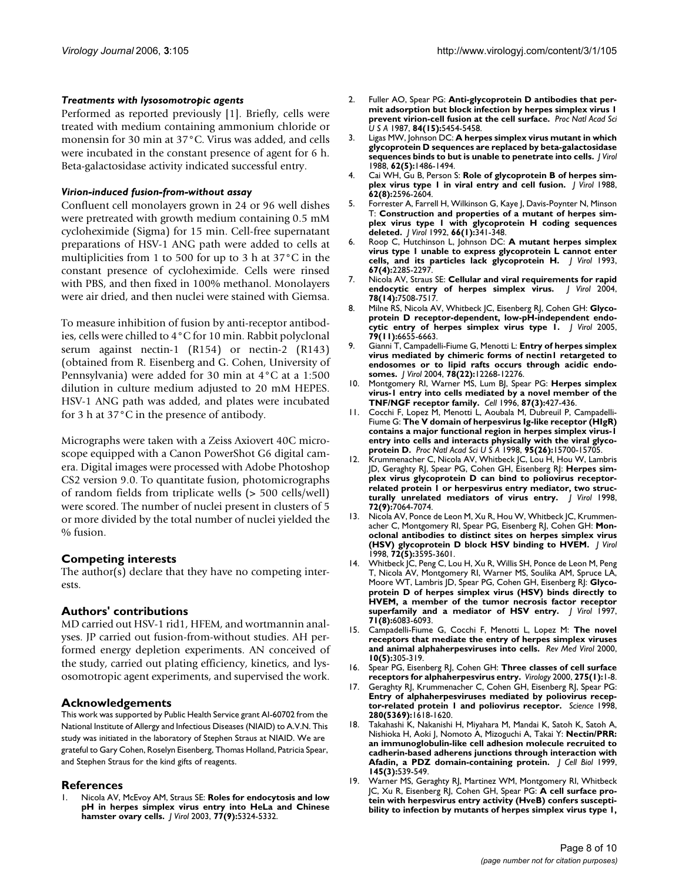#### *Treatments with lysosomotropic agents*

Performed as reported previously [1]. Briefly, cells were treated with medium containing ammonium chloride or monensin for 30 min at 37°C. Virus was added, and cells were incubated in the constant presence of agent for 6 h. Beta-galactosidase activity indicated successful entry.

#### *Virion-induced fusion-from-without assay*

Confluent cell monolayers grown in 24 or 96 well dishes were pretreated with growth medium containing 0.5 mM cycloheximide (Sigma) for 15 min. Cell-free supernatant preparations of HSV-1 ANG path were added to cells at multiplicities from 1 to 500 for up to 3 h at 37°C in the constant presence of cycloheximide. Cells were rinsed with PBS, and then fixed in 100% methanol. Monolayers were air dried, and then nuclei were stained with Giemsa.

To measure inhibition of fusion by anti-receptor antibodies, cells were chilled to 4°C for 10 min. Rabbit polyclonal serum against nectin-1 (R154) or nectin-2 (R143) (obtained from R. Eisenberg and G. Cohen, University of Pennsylvania) were added for 30 min at 4°C at a 1:500 dilution in culture medium adjusted to 20 mM HEPES. HSV-1 ANG path was added, and plates were incubated for 3 h at 37°C in the presence of antibody.

Micrographs were taken with a Zeiss Axiovert 40C microscope equipped with a Canon PowerShot G6 digital camera. Digital images were processed with Adobe Photoshop CS2 version 9.0. To quantitate fusion, photomicrographs of random fields from triplicate wells (> 500 cells/well) were scored. The number of nuclei present in clusters of 5 or more divided by the total number of nuclei yielded the % fusion.

#### **Competing interests**

The author(s) declare that they have no competing interests.

#### **Authors' contributions**

MD carried out HSV-1 rid1, HFEM, and wortmannin analyses. JP carried out fusion-from-without studies. AH performed energy depletion experiments. AN conceived of the study, carried out plating efficiency, kinetics, and lysosomotropic agent experiments, and supervised the work.

#### **Acknowledgements**

This work was supported by Public Health Service grant AI-60702 from the National Institute of Allergy and Infectious Diseases (NIAID) to A.V.N. This study was initiated in the laboratory of Stephen Straus at NIAID. We are grateful to Gary Cohen, Roselyn Eisenberg, Thomas Holland, Patricia Spear, and Stephen Straus for the kind gifts of reagents.

#### **References**

1. Nicola AV, McEvoy AM, Straus SE: **[Roles for endocytosis and low](http://www.ncbi.nlm.nih.gov/entrez/query.fcgi?cmd=Retrieve&db=PubMed&dopt=Abstract&list_uids=12692234) [pH in herpes simplex virus entry into HeLa and Chinese](http://www.ncbi.nlm.nih.gov/entrez/query.fcgi?cmd=Retrieve&db=PubMed&dopt=Abstract&list_uids=12692234) [hamster ovary cells.](http://www.ncbi.nlm.nih.gov/entrez/query.fcgi?cmd=Retrieve&db=PubMed&dopt=Abstract&list_uids=12692234)** *J Virol* 2003, **77(9):**5324-5332.

- 2. Fuller AO, Spear PG: **[Anti-glycoprotein D antibodies that per](http://www.ncbi.nlm.nih.gov/entrez/query.fcgi?cmd=Retrieve&db=PubMed&dopt=Abstract&list_uids=3037552)[mit adsorption but block infection by herpes simplex virus 1](http://www.ncbi.nlm.nih.gov/entrez/query.fcgi?cmd=Retrieve&db=PubMed&dopt=Abstract&list_uids=3037552) [prevent virion-cell fusion at the cell surface.](http://www.ncbi.nlm.nih.gov/entrez/query.fcgi?cmd=Retrieve&db=PubMed&dopt=Abstract&list_uids=3037552)** *Proc Natl Acad Sci U S A* 1987, **84(15):**5454-5458.
- 3. Ligas MW, Johnson DC: **[A herpes simplex virus mutant in which](http://www.ncbi.nlm.nih.gov/entrez/query.fcgi?cmd=Retrieve&db=PubMed&dopt=Abstract&list_uids=2833603) [glycoprotein D sequences are replaced by beta-galactosidase](http://www.ncbi.nlm.nih.gov/entrez/query.fcgi?cmd=Retrieve&db=PubMed&dopt=Abstract&list_uids=2833603) [sequences binds to but is unable to penetrate into cells.](http://www.ncbi.nlm.nih.gov/entrez/query.fcgi?cmd=Retrieve&db=PubMed&dopt=Abstract&list_uids=2833603)** *J Virol* 1988, **62(5):**1486-1494.
- 4. Cai WH, Gu B, Person S: **[Role of glycoprotein B of herpes sim](http://www.ncbi.nlm.nih.gov/entrez/query.fcgi?cmd=Retrieve&db=PubMed&dopt=Abstract&list_uids=2839688)[plex virus type 1 in viral entry and cell fusion.](http://www.ncbi.nlm.nih.gov/entrez/query.fcgi?cmd=Retrieve&db=PubMed&dopt=Abstract&list_uids=2839688)** *J Virol* 1988, **62(8):**2596-2604.
- 5. Forrester A, Farrell H, Wilkinson G, Kaye J, Davis-Poynter N, Minson T: **[Construction and properties of a mutant of herpes sim](http://www.ncbi.nlm.nih.gov/entrez/query.fcgi?cmd=Retrieve&db=PubMed&dopt=Abstract&list_uids=1309250)[plex virus type 1 with glycoprotein H coding sequences](http://www.ncbi.nlm.nih.gov/entrez/query.fcgi?cmd=Retrieve&db=PubMed&dopt=Abstract&list_uids=1309250) [deleted.](http://www.ncbi.nlm.nih.gov/entrez/query.fcgi?cmd=Retrieve&db=PubMed&dopt=Abstract&list_uids=1309250)** *J Virol* 1992, **66(1):**341-348.
- 6. Roop C, Hutchinson L, Johnson DC: **[A mutant herpes simplex](http://www.ncbi.nlm.nih.gov/entrez/query.fcgi?cmd=Retrieve&db=PubMed&dopt=Abstract&list_uids=8383241) [virus type 1 unable to express glycoprotein L cannot enter](http://www.ncbi.nlm.nih.gov/entrez/query.fcgi?cmd=Retrieve&db=PubMed&dopt=Abstract&list_uids=8383241) [cells, and its particles lack glycoprotein H.](http://www.ncbi.nlm.nih.gov/entrez/query.fcgi?cmd=Retrieve&db=PubMed&dopt=Abstract&list_uids=8383241)** *J Virol* 1993, **67(4):**2285-2297.
- 7. Nicola AV, Straus SE: **[Cellular and viral requirements for rapid](http://www.ncbi.nlm.nih.gov/entrez/query.fcgi?cmd=Retrieve&db=PubMed&dopt=Abstract&list_uids=15220424) [endocytic entry of herpes simplex virus.](http://www.ncbi.nlm.nih.gov/entrez/query.fcgi?cmd=Retrieve&db=PubMed&dopt=Abstract&list_uids=15220424)** *J Virol* 2004, **78(14):**7508-7517.
- 8. Milne RS, Nicola AV, Whitbeck JC, Eisenberg RJ, Cohen GH: **[Glyco](http://www.ncbi.nlm.nih.gov/entrez/query.fcgi?cmd=Retrieve&db=PubMed&dopt=Abstract&list_uids=15890903)[protein D receptor-dependent, low-pH-independent endo](http://www.ncbi.nlm.nih.gov/entrez/query.fcgi?cmd=Retrieve&db=PubMed&dopt=Abstract&list_uids=15890903)[cytic entry of herpes simplex virus type 1.](http://www.ncbi.nlm.nih.gov/entrez/query.fcgi?cmd=Retrieve&db=PubMed&dopt=Abstract&list_uids=15890903)** *J Virol* 2005, **79(11):**6655-6663.
- 9. Gianni T, Campadelli-Fiume G, Menotti L: **[Entry of herpes simplex](http://www.ncbi.nlm.nih.gov/entrez/query.fcgi?cmd=Retrieve&db=PubMed&dopt=Abstract&list_uids=15507614) [virus mediated by chimeric forms of nectin1 retargeted to](http://www.ncbi.nlm.nih.gov/entrez/query.fcgi?cmd=Retrieve&db=PubMed&dopt=Abstract&list_uids=15507614) endosomes or to lipid rafts occurs through acidic endo[somes.](http://www.ncbi.nlm.nih.gov/entrez/query.fcgi?cmd=Retrieve&db=PubMed&dopt=Abstract&list_uids=15507614)** *J Virol* 2004, **78(22):**12268-12276.
- 10. Montgomery RI, Warner MS, Lum BJ, Spear PG: **[Herpes simplex](http://www.ncbi.nlm.nih.gov/entrez/query.fcgi?cmd=Retrieve&db=PubMed&dopt=Abstract&list_uids=8898196) [virus-1 entry into cells mediated by a novel member of the](http://www.ncbi.nlm.nih.gov/entrez/query.fcgi?cmd=Retrieve&db=PubMed&dopt=Abstract&list_uids=8898196) [TNF/NGF receptor family.](http://www.ncbi.nlm.nih.gov/entrez/query.fcgi?cmd=Retrieve&db=PubMed&dopt=Abstract&list_uids=8898196)** *Cell* 1996, **87(3):**427-436.
- 11. Cocchi F, Lopez M, Menotti L, Aoubala M, Dubreuil P, Campadelli-Fiume G: **[The V domain of herpesvirus Ig-like receptor \(HIgR\)](http://www.ncbi.nlm.nih.gov/entrez/query.fcgi?cmd=Retrieve&db=PubMed&dopt=Abstract&list_uids=9861033) [contains a major functional region in herpes simplex virus-1](http://www.ncbi.nlm.nih.gov/entrez/query.fcgi?cmd=Retrieve&db=PubMed&dopt=Abstract&list_uids=9861033) entry into cells and interacts physically with the viral glyco[protein D.](http://www.ncbi.nlm.nih.gov/entrez/query.fcgi?cmd=Retrieve&db=PubMed&dopt=Abstract&list_uids=9861033)** *Proc Natl Acad Sci U S A* 1998, **95(26):**15700-15705.
- 12. Krummenacher C, Nicola AV, Whitbeck JC, Lou H, Hou W, Lambris JD, Geraghty RJ, Spear PG, Cohen GH, Eisenberg RJ: **[Herpes sim](http://www.ncbi.nlm.nih.gov/entrez/query.fcgi?cmd=Retrieve&db=PubMed&dopt=Abstract&list_uids=9696799)**plex virus glycoprotein **D** can bind to poliovirus receptor**related protein 1 or herpesvirus entry mediator, two struc**[turally unrelated mediators of virus entry.](http://www.ncbi.nlm.nih.gov/entrez/query.fcgi?cmd=Retrieve&db=PubMed&dopt=Abstract&list_uids=9696799) **72(9):**7064-7074.
- 13. Nicola AV, Ponce de Leon M, Xu R, Hou W, Whitbeck JC, Krummenacher C, Montgomery RI, Spear PG, Eisenberg RJ, Cohen GH: **[Mon](http://www.ncbi.nlm.nih.gov/entrez/query.fcgi?cmd=Retrieve&db=PubMed&dopt=Abstract&list_uids=9557640)[oclonal antibodies to distinct sites on herpes simplex virus](http://www.ncbi.nlm.nih.gov/entrez/query.fcgi?cmd=Retrieve&db=PubMed&dopt=Abstract&list_uids=9557640) [\(HSV\) glycoprotein D block HSV binding to HVEM.](http://www.ncbi.nlm.nih.gov/entrez/query.fcgi?cmd=Retrieve&db=PubMed&dopt=Abstract&list_uids=9557640)** *J Virol* 1998, **72(5):**3595-3601.
- 14. Whitbeck JC, Peng C, Lou H, Xu R, Willis SH, Ponce de Leon M, Peng T, Nicola AV, Montgomery RI, Warner MS, Soulika AM, Spruce LA, Moore WT, Lambris JD, Spear PG, Cohen GH, Eisenberg RJ: **[Glyco](http://www.ncbi.nlm.nih.gov/entrez/query.fcgi?cmd=Retrieve&db=PubMed&dopt=Abstract&list_uids=9223502)[protein D of herpes simplex virus \(HSV\) binds directly to](http://www.ncbi.nlm.nih.gov/entrez/query.fcgi?cmd=Retrieve&db=PubMed&dopt=Abstract&list_uids=9223502) HVEM, a member of the tumor necrosis factor receptor [superfamily and a mediator of HSV entry.](http://www.ncbi.nlm.nih.gov/entrez/query.fcgi?cmd=Retrieve&db=PubMed&dopt=Abstract&list_uids=9223502)** *J Virol* 1997, **71(8):**6083-6093.
- 15. Campadelli-Fiume G, Cocchi F, Menotti L, Lopez M: **[The novel](http://www.ncbi.nlm.nih.gov/entrez/query.fcgi?cmd=Retrieve&db=PubMed&dopt=Abstract&list_uids=11015742) [receptors that mediate the entry of herpes simplex viruses](http://www.ncbi.nlm.nih.gov/entrez/query.fcgi?cmd=Retrieve&db=PubMed&dopt=Abstract&list_uids=11015742) [and animal alphaherpesviruses into cells.](http://www.ncbi.nlm.nih.gov/entrez/query.fcgi?cmd=Retrieve&db=PubMed&dopt=Abstract&list_uids=11015742)** *Rev Med Virol* 2000, **10(5):**305-319.
- 16. Spear PG, Eisenberg RJ, Cohen GH: **[Three classes of cell surface](http://www.ncbi.nlm.nih.gov/entrez/query.fcgi?cmd=Retrieve&db=PubMed&dopt=Abstract&list_uids=11017782) [receptors for alphaherpesvirus entry.](http://www.ncbi.nlm.nih.gov/entrez/query.fcgi?cmd=Retrieve&db=PubMed&dopt=Abstract&list_uids=11017782)** *Virology* 2000, **275(1):**1-8.
- 17. Geraghty RJ, Krummenacher C, Cohen GH, Eisenberg RJ, Spear PG: **[Entry of alphaherpesviruses mediated by poliovirus recep](http://www.ncbi.nlm.nih.gov/entrez/query.fcgi?cmd=Retrieve&db=PubMed&dopt=Abstract&list_uids=9616127)[tor-related protein 1 and poliovirus receptor.](http://www.ncbi.nlm.nih.gov/entrez/query.fcgi?cmd=Retrieve&db=PubMed&dopt=Abstract&list_uids=9616127)** *Science* 1998, **280(5369):**1618-1620.
- 18. Takahashi K, Nakanishi H, Miyahara M, Mandai K, Satoh K, Satoh A, Nishioka H, Aoki J, Nomoto A, Mizoguchi A, Takai Y: **[Nectin/PRR:](http://www.ncbi.nlm.nih.gov/entrez/query.fcgi?cmd=Retrieve&db=PubMed&dopt=Abstract&list_uids=10225955) [an immunoglobulin-like cell adhesion molecule recruited to](http://www.ncbi.nlm.nih.gov/entrez/query.fcgi?cmd=Retrieve&db=PubMed&dopt=Abstract&list_uids=10225955) cadherin-based adherens junctions through interaction with [Afadin, a PDZ domain-containing protein.](http://www.ncbi.nlm.nih.gov/entrez/query.fcgi?cmd=Retrieve&db=PubMed&dopt=Abstract&list_uids=10225955)** *J Cell Biol* 1999, **145(3):**539-549.
- 19. Warner MS, Geraghty RJ, Martinez WM, Montgomery RI, Whitbeck JC, Xu R, Eisenberg RJ, Cohen GH, Spear PG: **[A cell surface pro](http://www.ncbi.nlm.nih.gov/entrez/query.fcgi?cmd=Retrieve&db=PubMed&dopt=Abstract&list_uids=9657005)[tein with herpesvirus entry activity \(HveB\) confers suscepti](http://www.ncbi.nlm.nih.gov/entrez/query.fcgi?cmd=Retrieve&db=PubMed&dopt=Abstract&list_uids=9657005)[bility to infection by mutants of herpes simplex virus type 1,](http://www.ncbi.nlm.nih.gov/entrez/query.fcgi?cmd=Retrieve&db=PubMed&dopt=Abstract&list_uids=9657005)**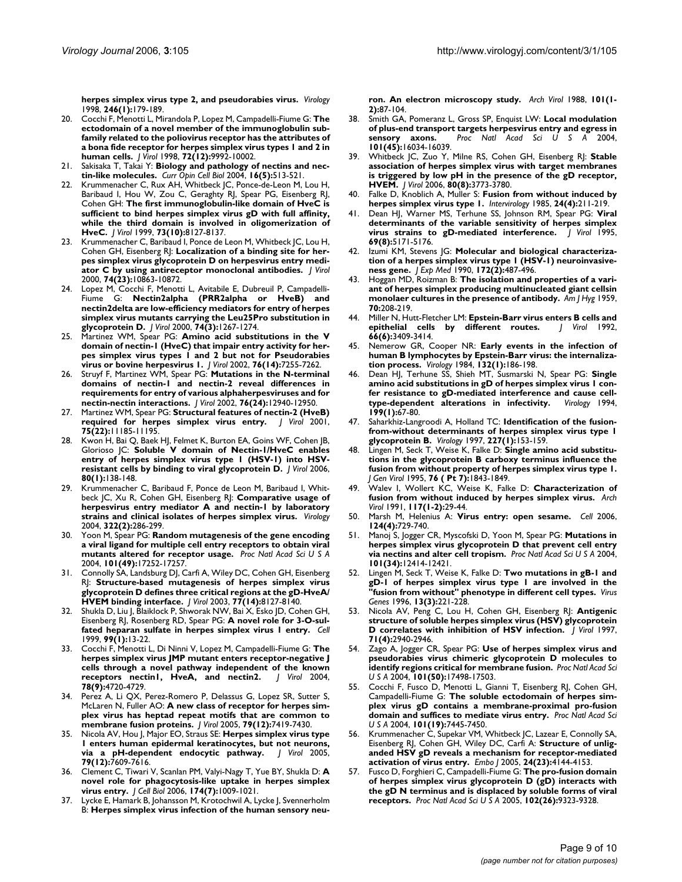**[herpes simplex virus type 2, and pseudorabies virus.](http://www.ncbi.nlm.nih.gov/entrez/query.fcgi?cmd=Retrieve&db=PubMed&dopt=Abstract&list_uids=9657005)** *Virology* 1998, **246(1):**179-189.

- 20. Cocchi F, Menotti L, Mirandola P, Lopez M, Campadelli-Fiume G: **[The](http://www.ncbi.nlm.nih.gov/entrez/query.fcgi?cmd=Retrieve&db=PubMed&dopt=Abstract&list_uids=9811737) [ectodomain of a novel member of the immunoglobulin sub](http://www.ncbi.nlm.nih.gov/entrez/query.fcgi?cmd=Retrieve&db=PubMed&dopt=Abstract&list_uids=9811737)family related to the poliovirus receptor has the attributes of a bona fide receptor for herpes simplex virus types 1 and 2 in [human cells.](http://www.ncbi.nlm.nih.gov/entrez/query.fcgi?cmd=Retrieve&db=PubMed&dopt=Abstract&list_uids=9811737)** *J Virol* 1998, **72(12):**9992-10002.
- 21. Sakisaka T, Takai Y: **[Biology and pathology of nectins and nec](http://www.ncbi.nlm.nih.gov/entrez/query.fcgi?cmd=Retrieve&db=PubMed&dopt=Abstract&list_uids=15363801)[tin-like molecules.](http://www.ncbi.nlm.nih.gov/entrez/query.fcgi?cmd=Retrieve&db=PubMed&dopt=Abstract&list_uids=15363801)** *Curr Opin Cell Biol* 2004, **16(5):**513-521.
- 22. Krummenacher C, Rux AH, Whitbeck JC, Ponce-de-Leon M, Lou H, Baribaud I, Hou W, Zou C, Geraghty RJ, Spear PG, Eisenberg RJ, Cohen GH: **[The first immunoglobulin-like domain of HveC is](http://www.ncbi.nlm.nih.gov/entrez/query.fcgi?cmd=Retrieve&db=PubMed&dopt=Abstract&list_uids=10482562) [sufficient to bind herpes simplex virus gD with full affinity,](http://www.ncbi.nlm.nih.gov/entrez/query.fcgi?cmd=Retrieve&db=PubMed&dopt=Abstract&list_uids=10482562) while the third domain is involved in oligomerization of [HveC.](http://www.ncbi.nlm.nih.gov/entrez/query.fcgi?cmd=Retrieve&db=PubMed&dopt=Abstract&list_uids=10482562)** *J Virol* 1999, **73(10):**8127-8137.
- 23. Krummenacher C, Baribaud I, Ponce de Leon M, Whitbeck JC, Lou H, Cohen GH, Eisenberg RJ: **[Localization of a binding site for her](http://www.ncbi.nlm.nih.gov/entrez/query.fcgi?cmd=Retrieve&db=PubMed&dopt=Abstract&list_uids=11069980)[pes simplex virus glycoprotein D on herpesvirus entry medi](http://www.ncbi.nlm.nih.gov/entrez/query.fcgi?cmd=Retrieve&db=PubMed&dopt=Abstract&list_uids=11069980)[ator C by using antireceptor monoclonal antibodies.](http://www.ncbi.nlm.nih.gov/entrez/query.fcgi?cmd=Retrieve&db=PubMed&dopt=Abstract&list_uids=11069980)** *J Virol* 2000, **74(23):**10863-10872.
- 24. Lopez M, Cocchi F, Menotti L, Avitabile E, Dubreuil P, Campadelli-Fiume G: **[Nectin2alpha \(PRR2alpha or HveB\) and](http://www.ncbi.nlm.nih.gov/entrez/query.fcgi?cmd=Retrieve&db=PubMed&dopt=Abstract&list_uids=10627537) [nectin2delta are low-efficiency mediators for entry of herpes](http://www.ncbi.nlm.nih.gov/entrez/query.fcgi?cmd=Retrieve&db=PubMed&dopt=Abstract&list_uids=10627537) simplex virus mutants carrying the Leu25Pro substitution in [glycoprotein D.](http://www.ncbi.nlm.nih.gov/entrez/query.fcgi?cmd=Retrieve&db=PubMed&dopt=Abstract&list_uids=10627537)** *J Virol* 2000, **74(3):**1267-1274.
- 25. Martinez WM, Spear PG: **[Amino acid substitutions in the V](http://www.ncbi.nlm.nih.gov/entrez/query.fcgi?cmd=Retrieve&db=PubMed&dopt=Abstract&list_uids=12072525) [domain of nectin-1 \(HveC\) that impair entry activity for her](http://www.ncbi.nlm.nih.gov/entrez/query.fcgi?cmd=Retrieve&db=PubMed&dopt=Abstract&list_uids=12072525)pes simplex virus types 1 and 2 but not for Pseudorabies [virus or bovine herpesvirus 1.](http://www.ncbi.nlm.nih.gov/entrez/query.fcgi?cmd=Retrieve&db=PubMed&dopt=Abstract&list_uids=12072525)** *J Virol* 2002, **76(14):**7255-7262.
- 26. Struyf F, Martinez WM, Spear PG: **[Mutations in the N-terminal](http://www.ncbi.nlm.nih.gov/entrez/query.fcgi?cmd=Retrieve&db=PubMed&dopt=Abstract&list_uids=12438620) [domains of nectin-1 and nectin-2 reveal differences in](http://www.ncbi.nlm.nih.gov/entrez/query.fcgi?cmd=Retrieve&db=PubMed&dopt=Abstract&list_uids=12438620) requirements for entry of various alphaherpesviruses and for [nectin-nectin interactions.](http://www.ncbi.nlm.nih.gov/entrez/query.fcgi?cmd=Retrieve&db=PubMed&dopt=Abstract&list_uids=12438620)** *J Virol* 2002, **76(24):**12940-12950.
- 27. Martinez WM, Spear PG: **[Structural features of nectin-2 \(HveB\)](http://www.ncbi.nlm.nih.gov/entrez/query.fcgi?cmd=Retrieve&db=PubMed&dopt=Abstract&list_uids=11602758) [required for herpes simplex virus entry.](http://www.ncbi.nlm.nih.gov/entrez/query.fcgi?cmd=Retrieve&db=PubMed&dopt=Abstract&list_uids=11602758)** *J Virol* 2001, **75(22):**11185-11195.
- 28. Kwon H, Bai Q, Baek HJ, Felmet K, Burton EA, Goins WF, Cohen JB, Glorioso JC: **[Soluble V domain of Nectin-1/HveC enables](http://www.ncbi.nlm.nih.gov/entrez/query.fcgi?cmd=Retrieve&db=PubMed&dopt=Abstract&list_uids=16352538) [entry of herpes simplex virus type 1 \(HSV-1\) into HSV](http://www.ncbi.nlm.nih.gov/entrez/query.fcgi?cmd=Retrieve&db=PubMed&dopt=Abstract&list_uids=16352538)[resistant cells by binding to viral glycoprotein D.](http://www.ncbi.nlm.nih.gov/entrez/query.fcgi?cmd=Retrieve&db=PubMed&dopt=Abstract&list_uids=16352538)** *J Virol* 2006, **80(1):**138-148.
- 29. Krummenacher C, Baribaud F, Ponce de Leon M, Baribaud I, Whitbeck JC, Xu R, Cohen GH, Eisenberg RJ: **[Comparative usage of](http://www.ncbi.nlm.nih.gov/entrez/query.fcgi?cmd=Retrieve&db=PubMed&dopt=Abstract&list_uids=15110526) [herpesvirus entry mediator A and nectin-1 by laboratory](http://www.ncbi.nlm.nih.gov/entrez/query.fcgi?cmd=Retrieve&db=PubMed&dopt=Abstract&list_uids=15110526) [strains and clinical isolates of herpes simplex virus.](http://www.ncbi.nlm.nih.gov/entrez/query.fcgi?cmd=Retrieve&db=PubMed&dopt=Abstract&list_uids=15110526)** *Virology* 2004, **322(2):**286-299.
- 30. Yoon M, Spear PG: **[Random mutagenesis of the gene encoding](http://www.ncbi.nlm.nih.gov/entrez/query.fcgi?cmd=Retrieve&db=PubMed&dopt=Abstract&list_uids=15557552) [a viral ligand for multiple cell entry receptors to obtain viral](http://www.ncbi.nlm.nih.gov/entrez/query.fcgi?cmd=Retrieve&db=PubMed&dopt=Abstract&list_uids=15557552) [mutants altered for receptor usage.](http://www.ncbi.nlm.nih.gov/entrez/query.fcgi?cmd=Retrieve&db=PubMed&dopt=Abstract&list_uids=15557552)** *Proc Natl Acad Sci U S A* 2004, **101(49):**17252-17257.
- 31. Connolly SA, Landsburg DJ, Carfi A, Wiley DC, Cohen GH, Eisenberg RJ: **[Structure-based mutagenesis of herpes simplex virus](http://www.ncbi.nlm.nih.gov/entrez/query.fcgi?cmd=Retrieve&db=PubMed&dopt=Abstract&list_uids=12829851) [glycoprotein D defines three critical regions at the gD-HveA/](http://www.ncbi.nlm.nih.gov/entrez/query.fcgi?cmd=Retrieve&db=PubMed&dopt=Abstract&list_uids=12829851) [HVEM binding interface.](http://www.ncbi.nlm.nih.gov/entrez/query.fcgi?cmd=Retrieve&db=PubMed&dopt=Abstract&list_uids=12829851)** *J Virol* 2003, **77(14):**8127-8140.
- 32. Shukla D, Liu J, Blaiklock P, Shworak NW, Bai X, Esko JD, Cohen GH, Eisenberg RJ, Rosenberg RD, Spear PG: **[A novel role for 3-O-sul](http://www.ncbi.nlm.nih.gov/entrez/query.fcgi?cmd=Retrieve&db=PubMed&dopt=Abstract&list_uids=10520990)[fated heparan sulfate in herpes simplex virus 1 entry.](http://www.ncbi.nlm.nih.gov/entrez/query.fcgi?cmd=Retrieve&db=PubMed&dopt=Abstract&list_uids=10520990)** *Cell* 1999, **99(1):**13-22.
- 33. Cocchi F, Menotti L, Di Ninni V, Lopez M, Campadelli-Fiume G: **[The](http://www.ncbi.nlm.nih.gov/entrez/query.fcgi?cmd=Retrieve&db=PubMed&dopt=Abstract&list_uids=15078954) [herpes simplex virus JMP mutant enters receptor-negative J](http://www.ncbi.nlm.nih.gov/entrez/query.fcgi?cmd=Retrieve&db=PubMed&dopt=Abstract&list_uids=15078954) cells through a novel pathway independent of the known [receptors nectin1, HveA, and nectin2.](http://www.ncbi.nlm.nih.gov/entrez/query.fcgi?cmd=Retrieve&db=PubMed&dopt=Abstract&list_uids=15078954)** *J Virol* 2004, **78(9):**4720-4729.
- Perez A, Li QX, Perez-Romero P, Delassus G, Lopez SR, Sutter S, McLaren N, Fuller AO: **[A new class of receptor for herpes sim](http://www.ncbi.nlm.nih.gov/entrez/query.fcgi?cmd=Retrieve&db=PubMed&dopt=Abstract&list_uids=15919898)[plex virus has heptad repeat motifs that are common to](http://www.ncbi.nlm.nih.gov/entrez/query.fcgi?cmd=Retrieve&db=PubMed&dopt=Abstract&list_uids=15919898) [membrane fusion proteins.](http://www.ncbi.nlm.nih.gov/entrez/query.fcgi?cmd=Retrieve&db=PubMed&dopt=Abstract&list_uids=15919898)** *J Virol* 2005, **79(12):**7419-7430.
- 35. Nicola AV, Hou J, Major EO, Straus SE: **[Herpes simplex virus type](http://www.ncbi.nlm.nih.gov/entrez/query.fcgi?cmd=Retrieve&db=PubMed&dopt=Abstract&list_uids=15919913) [1 enters human epidermal keratinocytes, but not neurons,](http://www.ncbi.nlm.nih.gov/entrez/query.fcgi?cmd=Retrieve&db=PubMed&dopt=Abstract&list_uids=15919913) [via a pH-dependent endocytic pathway.](http://www.ncbi.nlm.nih.gov/entrez/query.fcgi?cmd=Retrieve&db=PubMed&dopt=Abstract&list_uids=15919913)** *J Virol* 2005, **79(12):**7609-7616.
- 36. Clement C, Tiwari V, Scanlan PM, Valyi-Nagy T, Yue BY, Shukla D: **[A](http://www.ncbi.nlm.nih.gov/entrez/query.fcgi?cmd=Retrieve&db=PubMed&dopt=Abstract&list_uids=17000878) [novel role for phagocytosis-like uptake in herpes simplex](http://www.ncbi.nlm.nih.gov/entrez/query.fcgi?cmd=Retrieve&db=PubMed&dopt=Abstract&list_uids=17000878) [virus entry.](http://www.ncbi.nlm.nih.gov/entrez/query.fcgi?cmd=Retrieve&db=PubMed&dopt=Abstract&list_uids=17000878)** *J Cell Biol* 2006, **174(7):**1009-1021.
- 37. Lycke E, Hamark B, Johansson M, Krotochwil A, Lycke J, Svennerholm B: **[Herpes simplex virus infection of the human sensory neu-](http://www.ncbi.nlm.nih.gov/entrez/query.fcgi?cmd=Retrieve&db=PubMed&dopt=Abstract&list_uids=2843151)**

**[ron. An electron microscopy study.](http://www.ncbi.nlm.nih.gov/entrez/query.fcgi?cmd=Retrieve&db=PubMed&dopt=Abstract&list_uids=2843151)** *Arch Virol* 1988, **101(1- 2):**87-104.

- 38. Smith GA, Pomeranz L, Gross SP, Enquist LW: **[Local modulation](http://www.ncbi.nlm.nih.gov/entrez/query.fcgi?cmd=Retrieve&db=PubMed&dopt=Abstract&list_uids=15505210) [of plus-end transport targets herpesvirus entry and egress in](http://www.ncbi.nlm.nih.gov/entrez/query.fcgi?cmd=Retrieve&db=PubMed&dopt=Abstract&list_uids=15505210) [sensory axons.](http://www.ncbi.nlm.nih.gov/entrez/query.fcgi?cmd=Retrieve&db=PubMed&dopt=Abstract&list_uids=15505210)** *Proc Natl Acad Sci U S A* 2004, **101(45):**16034-16039.
- 39. Whitbeck JC, Zuo Y, Milne RS, Cohen GH, Eisenberg RJ: **[Stable](http://www.ncbi.nlm.nih.gov/entrez/query.fcgi?cmd=Retrieve&db=PubMed&dopt=Abstract&list_uids=16571794) [association of herpes simplex virus with target membranes](http://www.ncbi.nlm.nih.gov/entrez/query.fcgi?cmd=Retrieve&db=PubMed&dopt=Abstract&list_uids=16571794) is triggered by low pH in the presence of the gD receptor, [HVEM.](http://www.ncbi.nlm.nih.gov/entrez/query.fcgi?cmd=Retrieve&db=PubMed&dopt=Abstract&list_uids=16571794)** *J Virol* 2006, **80(8):**3773-3780.
- 40. Falke D, Knoblich A, Muller S: **[Fusion from without induced by](http://www.ncbi.nlm.nih.gov/entrez/query.fcgi?cmd=Retrieve&db=PubMed&dopt=Abstract&list_uids=3000981) [herpes simplex virus type 1.](http://www.ncbi.nlm.nih.gov/entrez/query.fcgi?cmd=Retrieve&db=PubMed&dopt=Abstract&list_uids=3000981)** *Intervirology* 1985, **24(4):**211-219.
- 41. Dean HJ, Warner MS, Terhune SS, Johnson RM, Spear PG: **[Viral](http://www.ncbi.nlm.nih.gov/entrez/query.fcgi?cmd=Retrieve&db=PubMed&dopt=Abstract&list_uids=7609090) [determinants of the variable sensitivity of herpes simplex](http://www.ncbi.nlm.nih.gov/entrez/query.fcgi?cmd=Retrieve&db=PubMed&dopt=Abstract&list_uids=7609090)** [virus strains to gD-mediated interference.](http://www.ncbi.nlm.nih.gov/entrez/query.fcgi?cmd=Retrieve&db=PubMed&dopt=Abstract&list_uids=7609090) **69(8):**5171-5176.
- 42. Izumi KM, Stevens JG: **[Molecular and biological characteriza](http://www.ncbi.nlm.nih.gov/entrez/query.fcgi?cmd=Retrieve&db=PubMed&dopt=Abstract&list_uids=2165127)[tion of a herpes simplex virus type 1 \(HSV-1\) neuroinvasive](http://www.ncbi.nlm.nih.gov/entrez/query.fcgi?cmd=Retrieve&db=PubMed&dopt=Abstract&list_uids=2165127)[ness gene.](http://www.ncbi.nlm.nih.gov/entrez/query.fcgi?cmd=Retrieve&db=PubMed&dopt=Abstract&list_uids=2165127)** *J Exp Med* 1990, **172(2):**487-496.
- 43. Hoggan MD, Roizman B: **[The isolation and properties of a vari](http://www.ncbi.nlm.nih.gov/entrez/query.fcgi?cmd=Retrieve&db=PubMed&dopt=Abstract&list_uids=14402487)[ant of herpes simplex producing multinucleated giant cellsin](http://www.ncbi.nlm.nih.gov/entrez/query.fcgi?cmd=Retrieve&db=PubMed&dopt=Abstract&list_uids=14402487) [monolaer cultures in the presence of antibody.](http://www.ncbi.nlm.nih.gov/entrez/query.fcgi?cmd=Retrieve&db=PubMed&dopt=Abstract&list_uids=14402487)** *Am J Hyg* 1959, **70:**208-219.
- 44. Miller N, Hutt-Fletcher LM: **[Epstein-Barr virus enters B cells and](http://www.ncbi.nlm.nih.gov/entrez/query.fcgi?cmd=Retrieve&db=PubMed&dopt=Abstract&list_uids=1316456) [epithelial cells by different routes.](http://www.ncbi.nlm.nih.gov/entrez/query.fcgi?cmd=Retrieve&db=PubMed&dopt=Abstract&list_uids=1316456)** *J Virol* 1992, **66(6):**3409-3414.
- 45. Nemerow GR, Cooper NR: **[Early events in the infection of](http://www.ncbi.nlm.nih.gov/entrez/query.fcgi?cmd=Retrieve&db=PubMed&dopt=Abstract&list_uids=6320532) [human B lymphocytes by Epstein-Barr virus: the internaliza](http://www.ncbi.nlm.nih.gov/entrez/query.fcgi?cmd=Retrieve&db=PubMed&dopt=Abstract&list_uids=6320532)[tion process.](http://www.ncbi.nlm.nih.gov/entrez/query.fcgi?cmd=Retrieve&db=PubMed&dopt=Abstract&list_uids=6320532)** *Virology* 1984, **132(1):**186-198.
- 46. Dean HJ, Terhune SS, Shieh MT, Susmarski N, Spear PG: **[Single](http://www.ncbi.nlm.nih.gov/entrez/query.fcgi?cmd=Retrieve&db=PubMed&dopt=Abstract&list_uids=8116256) [amino acid substitutions in gD of herpes simplex virus 1 con](http://www.ncbi.nlm.nih.gov/entrez/query.fcgi?cmd=Retrieve&db=PubMed&dopt=Abstract&list_uids=8116256)**fer resistance to gD-mediated interference and cause cell-<br>type-dependent alterations in infectivity. *Virology* 1994. [type-dependent alterations in infectivity.](http://www.ncbi.nlm.nih.gov/entrez/query.fcgi?cmd=Retrieve&db=PubMed&dopt=Abstract&list_uids=8116256) **199(1):**67-80.
- 47. Saharkhiz-Langroodi A, Holland TC: **[Identification of the fusion](http://www.ncbi.nlm.nih.gov/entrez/query.fcgi?cmd=Retrieve&db=PubMed&dopt=Abstract&list_uids=9007068)[from-without determinants of herpes simplex virus type 1](http://www.ncbi.nlm.nih.gov/entrez/query.fcgi?cmd=Retrieve&db=PubMed&dopt=Abstract&list_uids=9007068) [glycoprotein B.](http://www.ncbi.nlm.nih.gov/entrez/query.fcgi?cmd=Retrieve&db=PubMed&dopt=Abstract&list_uids=9007068)** *Virology* 1997, **227(1):**153-159.
- 48. Lingen M, Seck T, Weise K, Falke D: **[Single amino acid substitu](http://www.ncbi.nlm.nih.gov/entrez/query.fcgi?cmd=Retrieve&db=PubMed&dopt=Abstract&list_uids=9049391)[tions in the glycoprotein B carboxy terminus influence the](http://www.ncbi.nlm.nih.gov/entrez/query.fcgi?cmd=Retrieve&db=PubMed&dopt=Abstract&list_uids=9049391) fusion from without property of herpes simplex virus type 1.** *J Gen Virol* 1995, **76 ( Pt 7):**1843-1849.
- 49. Walev I, Wollert KC, Weise K, Falke D: **[Characterization of](http://www.ncbi.nlm.nih.gov/entrez/query.fcgi?cmd=Retrieve&db=PubMed&dopt=Abstract&list_uids=1848750) [fusion from without induced by herpes simplex virus.](http://www.ncbi.nlm.nih.gov/entrez/query.fcgi?cmd=Retrieve&db=PubMed&dopt=Abstract&list_uids=1848750)** *Arch Virol* 1991, **117(1-2):**29-44.
- 50. Marsh M, Helenius A: **[Virus entry: open sesame.](http://www.ncbi.nlm.nih.gov/entrez/query.fcgi?cmd=Retrieve&db=PubMed&dopt=Abstract&list_uids=16497584)** *Cell* 2006, **124(4):**729-740.
- 51. Manoj S, Jogger CR, Myscofski D, Yoon M, Spear PG: **[Mutations in](http://www.ncbi.nlm.nih.gov/entrez/query.fcgi?cmd=Retrieve&db=PubMed&dopt=Abstract&list_uids=15273289) [herpes simplex virus glycoprotein D that prevent cell entry](http://www.ncbi.nlm.nih.gov/entrez/query.fcgi?cmd=Retrieve&db=PubMed&dopt=Abstract&list_uids=15273289) [via nectins and alter cell tropism.](http://www.ncbi.nlm.nih.gov/entrez/query.fcgi?cmd=Retrieve&db=PubMed&dopt=Abstract&list_uids=15273289)** *Proc Natl Acad Sci U S A* 2004, **101(34):**12414-12421.
- 52. Lingen M, Seck T, Weise K, Falke D: **[Two mutations in gB-1 and](http://www.ncbi.nlm.nih.gov/entrez/query.fcgi?cmd=Retrieve&db=PubMed&dopt=Abstract&list_uids=9035366) [gD-1 of herpes simplex virus type 1 are involved in the](http://www.ncbi.nlm.nih.gov/entrez/query.fcgi?cmd=Retrieve&db=PubMed&dopt=Abstract&list_uids=9035366) ["fusion from without" phenotype in different cell types.](http://www.ncbi.nlm.nih.gov/entrez/query.fcgi?cmd=Retrieve&db=PubMed&dopt=Abstract&list_uids=9035366)** *Virus Genes* 1996, **13(3):**221-228.
- 53. Nicola AV, Peng C, Lou H, Cohen GH, Eisenberg RJ: **[Antigenic](http://www.ncbi.nlm.nih.gov/entrez/query.fcgi?cmd=Retrieve&db=PubMed&dopt=Abstract&list_uids=9060653) [structure of soluble herpes simplex virus \(HSV\) glycoprotein](http://www.ncbi.nlm.nih.gov/entrez/query.fcgi?cmd=Retrieve&db=PubMed&dopt=Abstract&list_uids=9060653) [D correlates with inhibition of HSV infection.](http://www.ncbi.nlm.nih.gov/entrez/query.fcgi?cmd=Retrieve&db=PubMed&dopt=Abstract&list_uids=9060653)** *J Virol* 1997, **71(4):**2940-2946.
- 54. Zago A, Jogger CR, Spear PG: **[Use of herpes simplex virus and](http://www.ncbi.nlm.nih.gov/entrez/query.fcgi?cmd=Retrieve&db=PubMed&dopt=Abstract&list_uids=15583135) [pseudorabies virus chimeric glycoprotein D molecules to](http://www.ncbi.nlm.nih.gov/entrez/query.fcgi?cmd=Retrieve&db=PubMed&dopt=Abstract&list_uids=15583135) [identify regions critical for membrane fusion.](http://www.ncbi.nlm.nih.gov/entrez/query.fcgi?cmd=Retrieve&db=PubMed&dopt=Abstract&list_uids=15583135)** *Proc Natl Acad Sci U S A* 2004, **101(50):**17498-17503.
- Cocchi F, Fusco D, Menotti L, Gianni T, Eisenberg RJ, Cohen GH, Campadelli-Fiume G: **[The soluble ectodomain of herpes sim](http://www.ncbi.nlm.nih.gov/entrez/query.fcgi?cmd=Retrieve&db=PubMed&dopt=Abstract&list_uids=15123804)[plex virus gD contains a membrane-proximal pro-fusion](http://www.ncbi.nlm.nih.gov/entrez/query.fcgi?cmd=Retrieve&db=PubMed&dopt=Abstract&list_uids=15123804) [domain and suffices to mediate virus entry.](http://www.ncbi.nlm.nih.gov/entrez/query.fcgi?cmd=Retrieve&db=PubMed&dopt=Abstract&list_uids=15123804)** *Proc Natl Acad Sci U S A* 2004, **101(19):**7445-7450.
- 56. Krummenacher C, Supekar VM, Whitbeck JC, Lazear E, Connolly SA, Eisenberg RJ, Cohen GH, Wiley DC, Carfi A: **[Structure of unlig](http://www.ncbi.nlm.nih.gov/entrez/query.fcgi?cmd=Retrieve&db=PubMed&dopt=Abstract&list_uids=16292345)[anded HSV gD reveals a mechanism for receptor-mediated](http://www.ncbi.nlm.nih.gov/entrez/query.fcgi?cmd=Retrieve&db=PubMed&dopt=Abstract&list_uids=16292345) [activation of virus entry.](http://www.ncbi.nlm.nih.gov/entrez/query.fcgi?cmd=Retrieve&db=PubMed&dopt=Abstract&list_uids=16292345)** *Embo J* 2005, **24(23):**4144-4153.
- 57. Fusco D, Forghieri C, Campadelli-Fiume G: **[The pro-fusion domain](http://www.ncbi.nlm.nih.gov/entrez/query.fcgi?cmd=Retrieve&db=PubMed&dopt=Abstract&list_uids=15972328) [of herpes simplex virus glycoprotein D \(gD\) interacts with](http://www.ncbi.nlm.nih.gov/entrez/query.fcgi?cmd=Retrieve&db=PubMed&dopt=Abstract&list_uids=15972328) the gD N terminus and is displaced by soluble forms of viral [receptors.](http://www.ncbi.nlm.nih.gov/entrez/query.fcgi?cmd=Retrieve&db=PubMed&dopt=Abstract&list_uids=15972328)** *Proc Natl Acad Sci U S A* 2005, **102(26):**9323-9328.